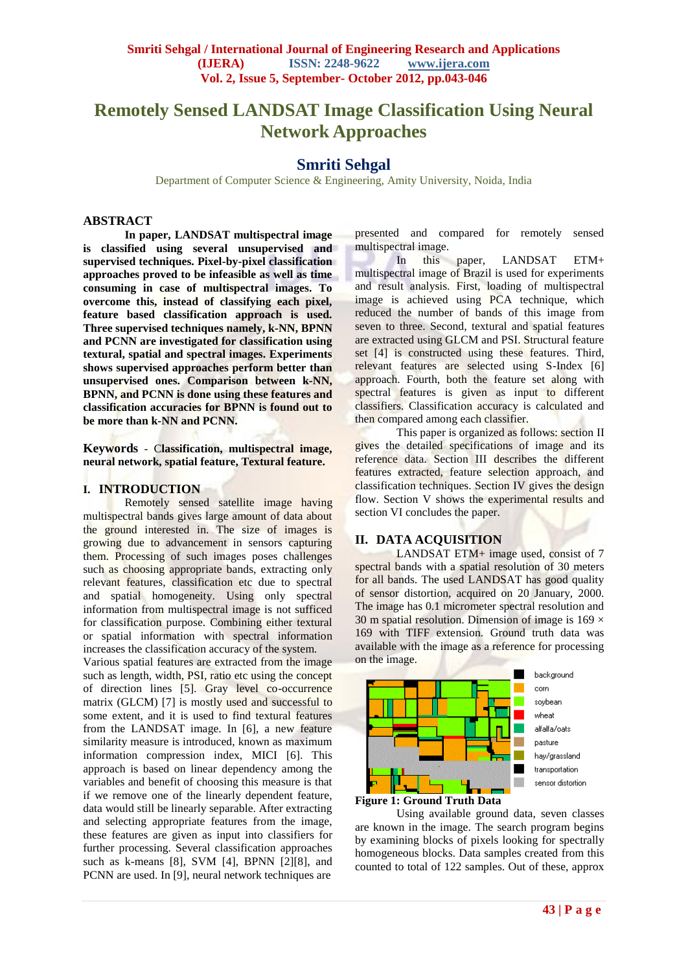# **Remotely Sensed LANDSAT Image Classification Using Neural Network Approaches**

# **Smriti Sehgal**

Department of Computer Science & Engineering, Amity University, Noida, India

## **ABSTRACT**

**In paper, LANDSAT multispectral image is classified using several unsupervised and supervised techniques. Pixel-by-pixel classification approaches proved to be infeasible as well as time consuming in case of multispectral images. To overcome this, instead of classifying each pixel, feature based classification approach is used. Three supervised techniques namely, k-NN, BPNN and PCNN are investigated for classification using textural, spatial and spectral images. Experiments shows supervised approaches perform better than unsupervised ones. Comparison between k-NN, BPNN, and PCNN is done using these features and classification accuracies for BPNN is found out to be more than k-NN and PCNN.** 

**Keywords** - C**lassification, multispectral image, neural network, spatial feature, Textural feature.**

#### **I. INTRODUCTION**

Remotely sensed satellite image having multispectral bands gives large amount of data about the ground interested in. The size of images is growing due to advancement in sensors capturing them. Processing of such images poses challenges such as choosing appropriate bands, extracting only relevant features, classification etc due to spectral and spatial homogeneity. Using only spectral information from multispectral image is not sufficed for classification purpose. Combining either textural or spatial information with spectral information increases the classification accuracy of the system.

Various spatial features are extracted from the image such as length, width, PSI, ratio etc using the concept of direction lines [5]. Gray level co-occurrence matrix (GLCM) [7] is mostly used and successful to some extent, and it is used to find textural features from the LANDSAT image. In [6], a new feature similarity measure is introduced, known as maximum information compression index, MICI [6]. This approach is based on linear dependency among the variables and benefit of choosing this measure is that if we remove one of the linearly dependent feature, data would still be linearly separable. After extracting and selecting appropriate features from the image, these features are given as input into classifiers for further processing. Several classification approaches such as k-means [8], SVM [4], BPNN [2][8], and PCNN are used. In [9], neural network techniques are

presented and compared for remotely sensed multispectral image.

In this paper, LANDSAT ETM+ multispectral image of Brazil is used for experiments and result analysis. First, loading of multispectral image is achieved using PCA technique, which reduced the number of bands of this image from seven to three. Second, textural and spatial features are extracted using GLCM and PSI. Structural feature set [4] is constructed using these features. Third, relevant features are selected using S-Index [6] approach. Fourth, both the feature set along with spectral features is given as input to different classifiers. Classification accuracy is calculated and then compared among each classifier.

This paper is organized as follows: section II gives the detailed specifications of image and its reference data. Section III describes the different features extracted, feature selection approach, and classification techniques. Section IV gives the design flow. Section V shows the experimental results and section VI concludes the paper.

## **II. DATA ACQUISITION**

LANDSAT ETM+ image used, consist of 7 spectral bands with a spatial resolution of 30 meters for all bands. The used LANDSAT has good quality of sensor distortion, acquired on 20 January, 2000. The image has 0.1 micrometer spectral resolution and 30 m spatial resolution. Dimension of image is  $169 \times$ 169 with TIFF extension. Ground truth data was available with the image as a reference for processing on the image.





Using available ground data, seven classes are known in the image. The search program begins by examining blocks of pixels looking for spectrally homogeneous blocks. Data samples created from this counted to total of 122 samples. Out of these, approx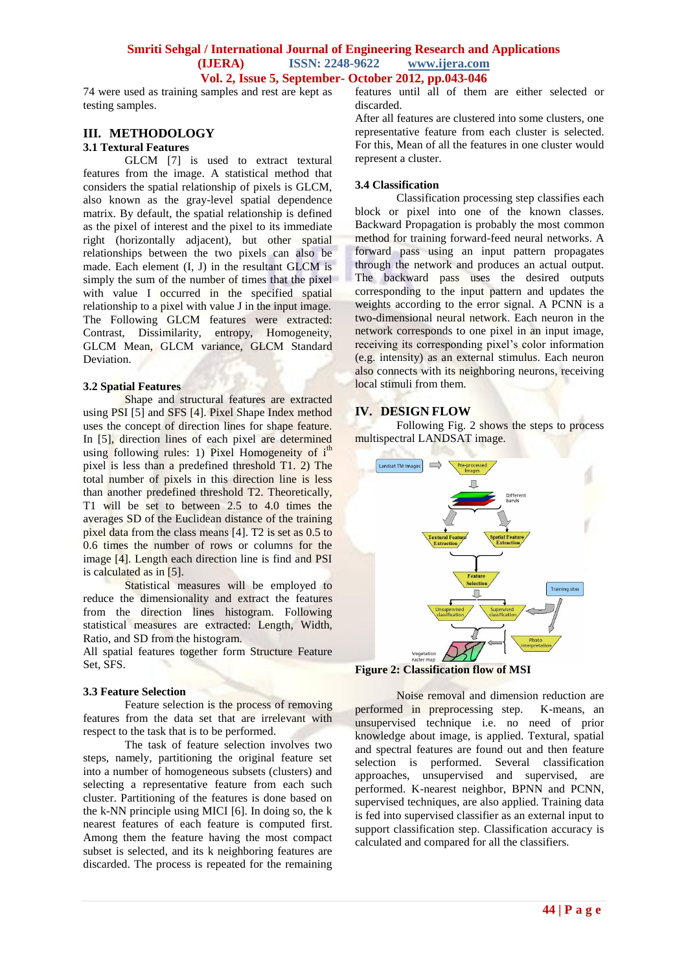#### **Smriti Sehgal / International Journal of Engineering Research and Applications (IJERA) ISSN: 2248-9622 www.ijera.com Vol. 2, Issue 5, September- October 2012, pp.043-046**

74 were used as training samples and rest are kept as testing samples.

#### **III. METHODOLOGY 3.1 Textural Features**

GLCM [7] is used to extract textural features from the image. A statistical method that considers the spatial relationship of pixels is GLCM, also known as the gray-level spatial dependence matrix. By default, the spatial relationship is defined as the pixel of interest and the pixel to its immediate right (horizontally adjacent), but other spatial relationships between the two pixels can also be made. Each element (I, J) in the resultant GLCM is simply the sum of the number of times that the pixel with value I occurred in the specified spatial relationship to a pixel with value J in the input image. The Following GLCM features were extracted: Contrast, Dissimilarity, entropy, Homogeneity, GLCM Mean, GLCM variance, GLCM Standard Deviation.

#### **3.2 Spatial Features**

Shape and structural features are extracted using PSI [5] and SFS [4]. Pixel Shape Index method uses the concept of direction lines for shape feature. In [5], direction lines of each pixel are determined using following rules: 1) Pixel Homogeneity of  $i<sup>th</sup>$ pixel is less than a predefined threshold T1. 2) The total number of pixels in this direction line is less than another predefined threshold T2. Theoretically, T1 will be set to between 2.5 to 4.0 times the averages SD of the Euclidean distance of the training pixel data from the class means [4]. T2 is set as 0.5 to 0.6 times the number of rows or columns for the image [4]. Length each direction line is find and PSI is calculated as in [5].

Statistical measures will be employed to reduce the dimensionality and extract the features from the direction lines histogram. Following statistical measures are extracted: Length, Width, Ratio, and SD from the histogram.

All spatial features together form Structure Feature Set, SFS.

#### **3.3 Feature Selection**

Feature selection is the process of removing features from the data set that are irrelevant with respect to the task that is to be performed.

The task of feature selection involves two steps, namely, partitioning the original feature set into a number of homogeneous subsets (clusters) and selecting a representative feature from each such cluster. Partitioning of the features is done based on the k-NN principle using MICI [6]. In doing so, the k nearest features of each feature is computed first. Among them the feature having the most compact subset is selected, and its k neighboring features are discarded. The process is repeated for the remaining

features until all of them are either selected or discarded.

After all features are clustered into some clusters, one representative feature from each cluster is selected. For this, Mean of all the features in one cluster would represent a cluster.

#### **3.4 Classification**

Classification processing step classifies each block or pixel into one of the known classes. Backward Propagation is probably the most common method for training forward-feed neural networks. A forward pass using an input pattern propagates through the network and produces an actual output. The backward pass uses the desired outputs corresponding to the input pattern and updates the weights according to the error signal. A PCNN is a two-dimensional neural network. Each neuron in the network corresponds to one pixel in an input image, receiving its corresponding pixel's color information (e.g. intensity) as an external stimulus. Each neuron also connects with its neighboring neurons, receiving local stimuli from them.

## **IV. DESIGN FLOW**

Following Fig. 2 shows the steps to process multispectral LANDSAT image.



**Figure 2: Classification flow of MSI**

Noise removal and dimension reduction are performed in preprocessing step. K-means, an unsupervised technique i.e. no need of prior knowledge about image, is applied. Textural, spatial and spectral features are found out and then feature selection is performed. Several classification approaches, unsupervised and supervised, are performed. K-nearest neighbor, BPNN and PCNN, supervised techniques, are also applied. Training data is fed into supervised classifier as an external input to support classification step. Classification accuracy is calculated and compared for all the classifiers.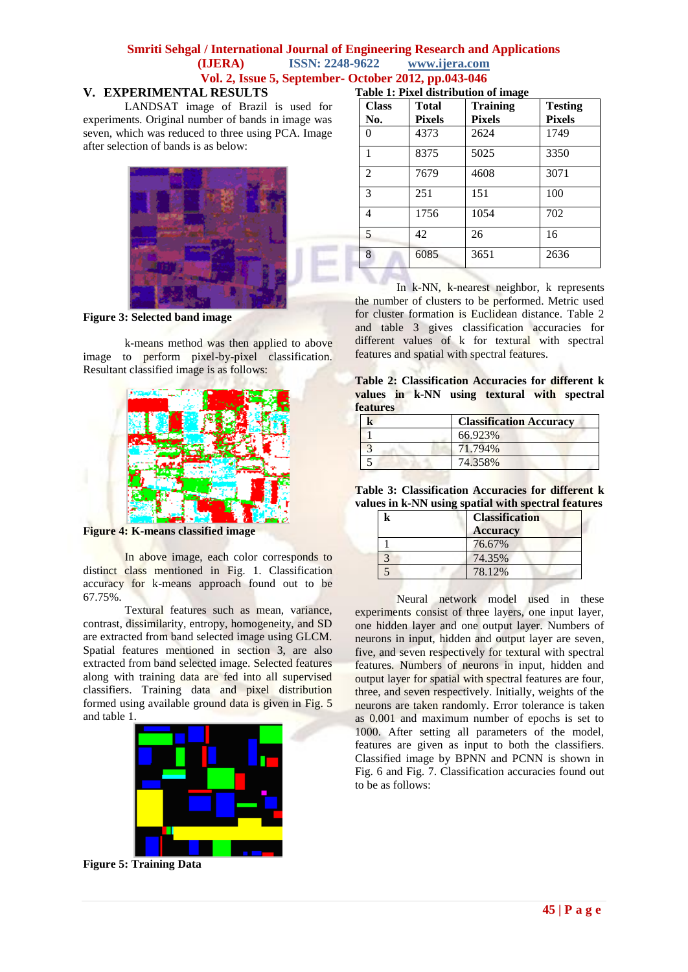# **Smriti Sehgal / International Journal of Engineering Research and Applications (IJERA) ISSN: 2248-9622 www.ijera.com Vol. 2, Issue 5, September- October 2012, pp.043-046**

# **V. EXPERIMENTAL RESULTS**

LANDSAT image of Brazil is used for experiments. Original number of bands in image was seven, which was reduced to three using PCA. Image after selection of bands is as below:



**Figure 3: Selected band image**

k-means method was then applied to above image to perform pixel-by-pixel classification. Resultant classified image is as follows:



**Figure 4: K-means classified image**

In above image, each color corresponds to distinct class mentioned in Fig. 1. Classification accuracy for k-means approach found out to be 67.75%.

Textural features such as mean, variance, contrast, dissimilarity, entropy, homogeneity, and SD are extracted from band selected image using GLCM. Spatial features mentioned in section 3, are also extracted from band selected image. Selected features along with training data are fed into all supervised classifiers. Training data and pixel distribution formed using available ground data is given in Fig. 5 and table 1.



**Figure 5: Training Data**

| <b>Class</b>   | Total         | <b>Training</b> | <b>Testing</b> |
|----------------|---------------|-----------------|----------------|
| No.            | <b>Pixels</b> | <b>Pixels</b>   | <b>Pixels</b>  |
| 0              | 4373          | 2624            | 1749           |
| 1              | 8375          | 5025            | 3350           |
| $\mathfrak{D}$ | 7679          | 4608            | 3071           |
| 3              | 251           | 151             | 100            |
| 4              | 1756          | 1054            | 702            |
| 5              | 42            | 26              | 16             |
| 8              | 6085          | 3651            | 2636           |

In k-NN, k-nearest neighbor, k represents the number of clusters to be performed. Metric used for cluster formation is Euclidean distance. Table 2 and table 3 gives classification accuracies for different values of k for textural with spectral features and spatial with spectral features.

**Table 2: Classification Accuracies for different k values in k-NN using textural with spectral features**

| <b>Classification Accuracy</b> |  |
|--------------------------------|--|
| 66.923%                        |  |
| 71.794%                        |  |
| 74.358%                        |  |

**Table 3: Classification Accuracies for different k values in k-NN using spatial with spectral features**

|  | <b>Classification</b><br><b>Accuracy</b> |  |
|--|------------------------------------------|--|
|  | 76.67%                                   |  |
|  | 74.35%                                   |  |
|  | 78.12%                                   |  |

Neural network model used in these experiments consist of three layers, one input layer, one hidden layer and one output layer. Numbers of neurons in input, hidden and output layer are seven, five, and seven respectively for textural with spectral features. Numbers of neurons in input, hidden and output layer for spatial with spectral features are four, three, and seven respectively. Initially, weights of the neurons are taken randomly. Error tolerance is taken as 0.001 and maximum number of epochs is set to 1000. After setting all parameters of the model, features are given as input to both the classifiers. Classified image by BPNN and PCNN is shown in Fig. 6 and Fig. 7. Classification accuracies found out to be as follows: